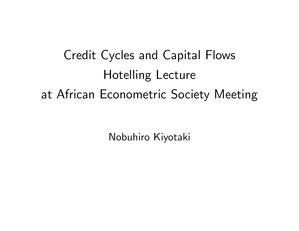Credit Cycles and Capital Flows Hotelling Lecture at African Econometric Society Meeting

Nobuhiro Kiyotaki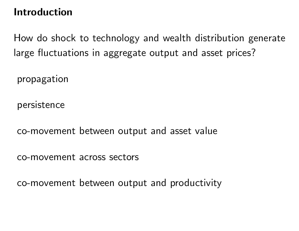## Introduction

How do shock to technology and wealth distribution generate large fluctuations in aggregate output and asset prices?

propagation

persistence

co-movement between output and asset value

co-movement across sectors

co-movement between output and productivity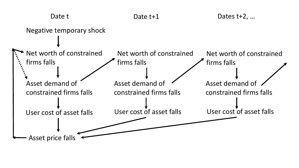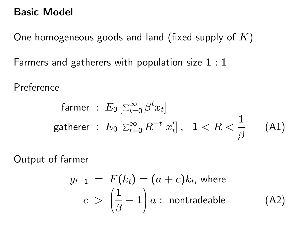### Basic Model

One homogeneous goods and land (fixed supply of  $\overline{K}$ ) Farmers and gatherers with population size 1 : 1

Preference

$$
\begin{array}{l}\n\text{ farmer}: \ E_0\left[\sum_{t=0}^{\infty} \beta^t x_t\right] \\
\text{gather}: \ E_0\left[\sum_{t=0}^{\infty} R^{-t} x_t'\right], \ \ 1 < R < \frac{1}{\beta} \end{array} \tag{A1}
$$

Output of farmer

$$
y_{t+1} = F(k_t) = (a + c)k_t, \text{ where}
$$
  

$$
c > \left(\frac{1}{\beta} - 1\right)a : \text{ nontradeable} \tag{A2}
$$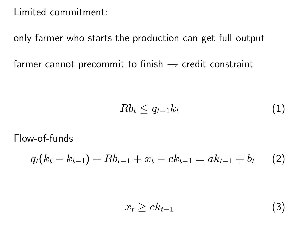Limited commitment:

only farmer who starts the production can get full output

farmer cannot precommit to finish  $\rightarrow$  credit constraint

$$
Rb_t \leq q_{t+1}k_t \tag{1}
$$

Flow-of-funds

$$
q_t(k_t - k_{t-1}) + Rb_{t-1} + x_t - ck_{t-1} = ak_{t-1} + b_t \qquad (2)
$$

$$
x_t \ge ck_{t-1} \tag{3}
$$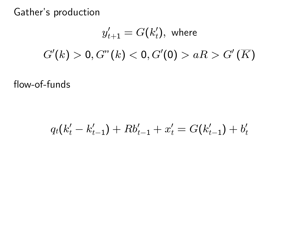Gather's production

$$
y'_{t+1} = G(k'_t), \text{ where}
$$
  

$$
G'(k) > 0, G''(k) < 0, G'(0) > aR > G'(\overline{K})
$$

flow-of-funds

$$
q_t(k'_t - k'_{t-1}) + Rb'_{t-1} + x'_t = G(k'_{t-1}) + b'_t
$$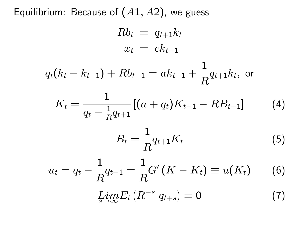Equilibrium: Because of  $(A1, A2)$ , we guess

$$
Rb_t \ = \ q_{t+1}k_t \\ x_t \ = \ ck_{t-1}
$$

$$
q_t(k_t-k_{t-1})+Rb_{t-1}=ak_{t-1}+\frac{1}{R}q_{t+1}k_t, \,\,\text{or}\,\,
$$

$$
K_t = \frac{1}{q_t - \frac{1}{R}q_{t+1}}[(a + q_t)K_{t-1} - RB_{t-1}] \tag{4}
$$

$$
B_t = \frac{1}{R} q_{t+1} K_t \tag{5}
$$

$$
u_t = q_t - \frac{1}{R} q_{t+1} = \frac{1}{R} G'(\overline{K} - K_t) \equiv u(K_t)
$$
 (6)

$$
\lim_{s \to \infty} E_t \left( R^{-s} q_{t+s} \right) = 0 \tag{7}
$$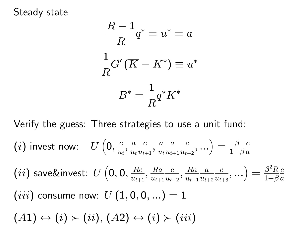### Steady state

$$
\frac{R-1}{R}q^* = u^* = a
$$

$$
\frac{1}{R}G'(\overline{K} - K^*) \equiv u^*
$$

$$
B^* = \frac{1}{R}q^*K^*
$$

Verify the guess: Three strategies to use a unit fund:

$$
\textbf{(}i \textbf{)} \text{ invest now: } \quad U\left(\textbf{0}, \frac{c}{u_t}, \frac{a}{u_t} \frac{c}{u_t u_{t+1}}, \frac{a}{u_t} \frac{a}{u_{t+1}} \frac{c}{u_{t+2}}, ...\right) = \tfrac{\beta}{1-\beta} \tfrac{c}{a}
$$

 $\left( ii\right)$  save&invest:  $\left| U\right|$  $\sqrt{ }$  $\mathbf{0}, \mathbf{0}, \frac{Rc}{2L}$  $u_{t+1}$  $\frac{Ra}{dx}$  $u_{t+1}$  $\overline{c}$  $u_{t+2}$  $\frac{Ra}{dx}$  $u_{t+1}$  $\overline{a}$  $u_{t+2}$  $\overline{c}$  $u_{t+3}$  $\left\langle \ldots \right\rangle =\frac{\beta ^{2}R}{1-\beta }$  $1-\beta$  $\overline{c}$  $\overline{a}$  $(iii)$  consume now:  $U(1,0,0,...)=1$  $(A1) \leftrightarrow (i) \succ (ii), (A2) \leftrightarrow (i) \succ (iii)$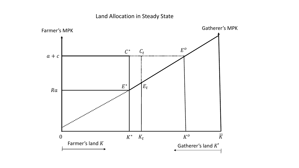### Land Allocation in Steady State

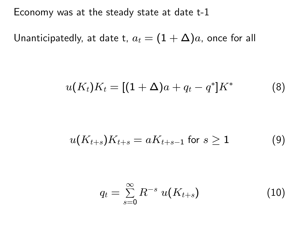Economy was at the steady state at date t-1

Unanticipatedly, at date t,  $a_t = (1 + \Delta)a$ , once for all

$$
u(K_t)K_t = [(1 + \Delta)a + q_t - q^*]K^*
$$
 (8)

$$
u(K_{t+s})K_{t+s} = aK_{t+s-1} \text{ for } s \geq 1 \tag{9}
$$

$$
q_t = \sum_{s=0}^{\infty} R^{-s} u(K_{t+s}) \qquad (10)
$$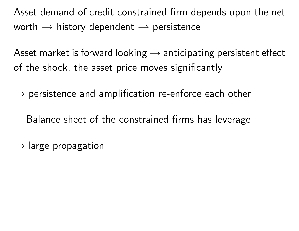Asset demand of credit constrained firm depends upon the net worth  $\rightarrow$  history dependent  $\rightarrow$  persistence

Asset market is forward looking  $\rightarrow$  anticipating persistent effect of the shock, the asset price moves significantly

 $\rightarrow$  persistence and amplification re-enforce each other

 $+$  Balance sheet of the constrained firms has leverage

 $\rightarrow$  large propagation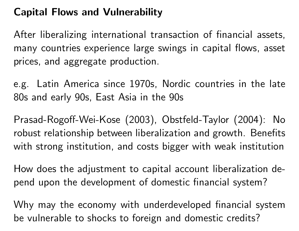# Capital Flows and Vulnerability

After liberalizing international transaction of financial assets, many countries experience large swings in capital flows, asset prices, and aggregate production.

e.g. Latin America since 1970s, Nordic countries in the late 80s and early 90s, East Asia in the 90s

Prasad-Rogo§-Wei-Kose (2003), Obstfeld-Taylor (2004): No robust relationship between liberalization and growth. Benefits with strong institution, and costs bigger with weak institution

How does the adjustment to capital account liberalization depend upon the development of domestic financial system?

Why may the economy with underdeveloped financial system be vulnerable to shocks to foreign and domestic credits?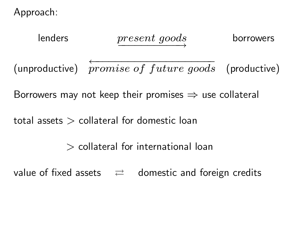Approach:



value of fixed assets  $\Rightarrow$  domestic and foreign credits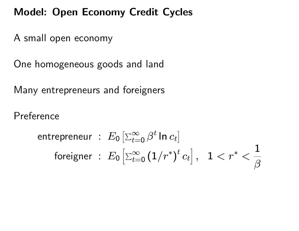## Model: Open Economy Credit Cycles

A small open economy

One homogeneous goods and land

Many entrepreneurs and foreigners

Preference

$$
\begin{array}{l} \text{entrepreneur} \ : \ E_0 \left[ \Sigma_{t=0}^\infty \, \beta^t \, \text{\rm ln} \, c_t \right] \\ \text{foreigner} \ : \ E_0 \left[ \Sigma_{t=0}^\infty \left( 1/r^* \right)^t c_t \right], \quad 1 < r^* < \frac{1}{\beta} \end{array}
$$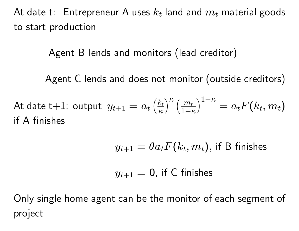At date t: Entrepreneur A uses  $k_t$  land and  $m_t$  material goods to start production

Agent B lends and monitors (lead creditor)

Agent C lends and does not monitor (outside creditors)

At date t $+1$ : output  $y_{t+1}=a_t$  $\sqrt{k_t}$  $\kappa$  $\big)^{\kappa}$   $\big(\frac{m_t}{m_t}\big)^{\kappa}$  $1-\kappa$  $\setminus 1{-}\kappa$  $=a_t F(k_t,m_t)$ if A finishes

$$
y_{t+1} = \theta a_t F(k_t, m_t)
$$
, if B finishes

$$
y_{t+1} = \mathsf{0}, \text{ if } \mathsf{C} \text{ finishes}
$$

Only single home agent can be the monitor of each segment of project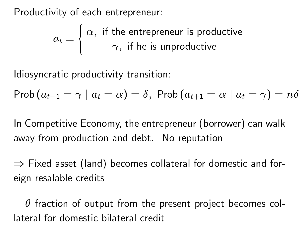Productivity of each entrepreneur:

 $a_t =$  $\sqrt{ }$  $\int$  $\left\lfloor \right\rfloor$  $\alpha,$  if the entrepreneur is productive  $\gamma,$  if he is unproductive

Idiosyncratic productivity transition:

$$
\mathsf{Prob}\left(a_{t+1}=\gamma\mid a_{t}=\alpha\right)=\delta,\; \mathsf{Prob}\left(a_{t+1}=\alpha\mid a_{t}=\gamma\right)=n\delta
$$

In Competitive Economy, the entrepreneur (borrower) can walk away from production and debt. No reputation

 $\Rightarrow$  Fixed asset (land) becomes collateral for domestic and foreign resalable credits

 $\theta$  fraction of output from the present project becomes collateral for domestic bilateral credit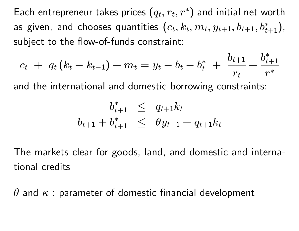Each entrepreneur takes prices  $\left( q_t, r_t, r^* \right)$  and initial net worth as given, and chooses quantities  $(c_t, k_t, m_t, y_{t+1}, b_{t+1}, b_{t+1}^*),$ subject to the flow-of-funds constraint:

$$
c_t \ + \ q_t \left( k_t - k_{t-1} \right) + m_t = y_t - b_t - b_t^* \ + \ \frac{b_{t+1}}{r_t} + \frac{b_{t+1}^*}{r^*}
$$

and the international and domestic borrowing constraints:

$$
b_{t+1}^* \leq q_{t+1} k_t
$$
  

$$
b_{t+1} + b_{t+1}^* \leq \theta y_{t+1} + q_{t+1} k_t
$$

The markets clear for goods, land, and domestic and international credits

 $\theta$  and  $\kappa$  : parameter of domestic financial development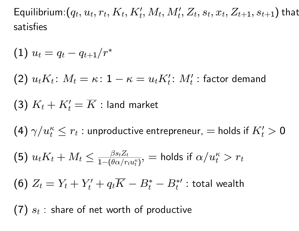Equilibrium: $(q_t,u_t,r_t,K_t,K'_t,M_t,M'_t,Z_t,s_t,x_t,Z_{t+1},s_{t+1})$  that satisfies

$$
{\rm (1)}\; u_t = q_t - q_{t+1}/r^*
$$

 $(2)$   $u_t K_t$ :  $M_t = \kappa$  :  $1 - \kappa = u_t K_t'$ :  $M_t'$  : factor demand

 $\left( {\bf 3}\right) \,K_t + K_t' = \overline{K}$  : land market

 $\left(4\right)\gamma/u_{t}^{\kappa}\leq r_{t}$  : unproductive entrepreneur,  $=$  holds if  $K_{t}^{\prime}>0$ 

(5) 
$$
u_t K_t + M_t \le \frac{\beta s_t Z_t}{1 - (\theta \alpha / r_t u_t^{\kappa})}
$$
, = holds if  $\alpha / u_t^{\kappa} > r_t$   
(6)  $Z_t = Y_t + Y_t' + q_t \overline{K} - B_t^* - B_t^{*}$  : total wealth

 $(7)$   $s_t$  : share of net worth of productive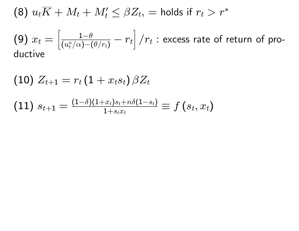(8) 
$$
u_t\overline{K} + M_t + M'_t \leq \beta Z_t
$$
, = holds if  $r_t > r^*$ 

$$
\textbf{(9)}\ x_t = \left[\tfrac{1-\theta}{(u_t^\kappa/\alpha) - (\theta/r_t)} - r_t\right] / r_t \text{ : excess rate of return of pro-
$$
   
ductive

$$
\begin{aligned} & \textbf{(10)} \ Z_{t+1} = r_t \left( 1 + x_t s_t \right) \beta Z_t \\ & \textbf{(11)} \ s_{t+1} = \tfrac{(1-\delta)(1+x_t) s_t + n \delta(1-s_t)}{1+s_t x_t} \equiv f \left( s_t, x_t \right) \end{aligned}
$$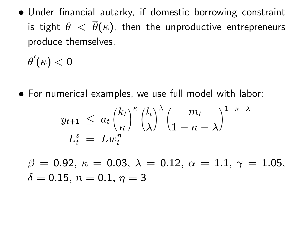• Under financial autarky, if domestic borrowing constraint is tight  $\theta < \overline{\theta}(\kappa)$ , then the unproductive entrepreneurs produce themselves.

 $\overline{\theta}'(\kappa) < 0$ 

For numerical examples, we use full model with labor:

$$
\begin{array}{l}y_{t+1} \, \leq \, a_t \left(\!\frac{k_t}{\kappa}\!\right)^\kappa \left(\!\frac{l_t}{\lambda}\!\right)^\lambda \left(\frac{m_t}{1-\kappa-\lambda}\!\right)^{1-\kappa-\lambda} \\ L^s_t \, = \, \overline{L}w_t^\eta \end{array}
$$

 $\beta = 0.92, \ \kappa = 0.03, \ \lambda = 0.12, \ \alpha = 1.1, \ \gamma = 1.05,$  $\delta = 0.15, n = 0.1, \eta = 3$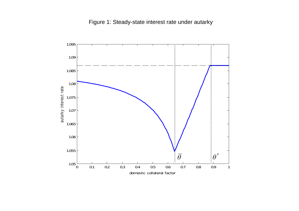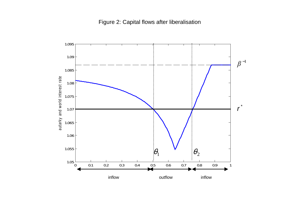![](_page_21_Figure_1.jpeg)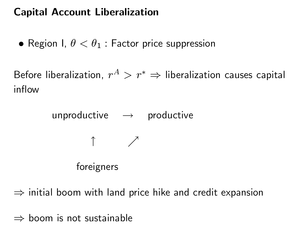# Capital Account Liberalization

• Region I,  $\theta < \theta_1$ : Factor price suppression

Before liberalization,  $r^A>r^*\Rightarrow$  liberalization causes capital inflow

> unproductive  $\rightarrow$  productive  $\uparrow$   $\nearrow$ foreigners

 $\Rightarrow$  initial boom with land price hike and credit expansion

 $\Rightarrow$  boom is not sustainable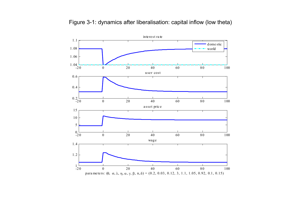![](_page_23_Figure_0.jpeg)

Figure 3-1: dynamics after liberalisation: capital inflow (low theta)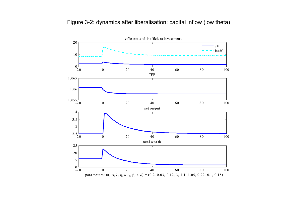![](_page_24_Figure_0.jpeg)

![](_page_24_Figure_1.jpeg)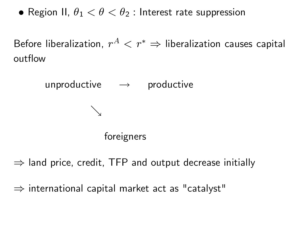• Region II,  $\theta_1 < \theta < \theta_2$ : Interest rate suppression

Before liberalization,  $r^A < r^* \Rightarrow$  liberalization causes capital outflow

![](_page_25_Figure_2.jpeg)

 $\Rightarrow$  land price, credit, TFP and output decrease initially

 $\Rightarrow$  international capital market act as "catalyst"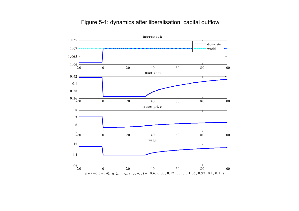#### Figure 5-1: dynamics after liberalisation: capital outflow

![](_page_26_Figure_1.jpeg)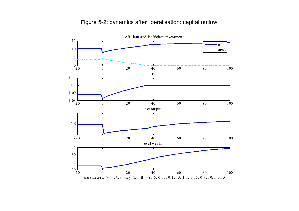#### Figure 5-2: dynamics after liberalisation: capital outlow

![](_page_27_Figure_1.jpeg)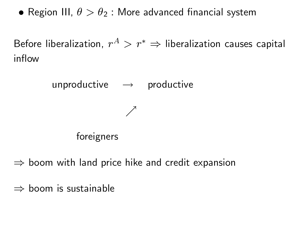• Region III,  $\theta > \theta_2$ : More advanced financial system

Before liberalization,  $r^A>r^*\Rightarrow$  liberalization causes capital inflow

![](_page_28_Figure_2.jpeg)

 $\Rightarrow$  boom with land price hike and credit expansion

 $\Rightarrow$  boom is sustainable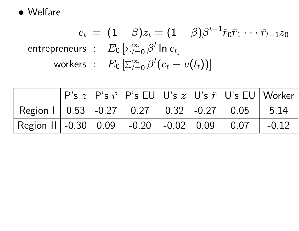![](_page_29_Picture_0.jpeg)

$$
c_t = (1 - \beta)z_t = (1 - \beta)\beta^{t-1}\tilde{r}_0\tilde{r}_1 \cdots \tilde{r}_{t-1}z_0
$$
  
entrepreneurs :  $E_0 \left[\sum_{t=0}^{\infty} \beta^t \ln c_t\right]$   
works :  $E_0 \left[\sum_{t=0}^{\infty} \beta^t (c_t - v(l_t))\right]$ 

|                                                                                                                  |  |  | $\mid$ P's $z$ $\mid$ P's $\tilde{r}$ $\mid$ P's EU $\mid$ U's $z$ $\mid$ U's $\tilde{r}$ $\mid$ U's EU $\mid$ Worker |  |
|------------------------------------------------------------------------------------------------------------------|--|--|-----------------------------------------------------------------------------------------------------------------------|--|
| Region 1   0.53   -0.27   0.27   0.32   -0.27   0.05   5.14                                                      |  |  |                                                                                                                       |  |
| $\vert$ Region II $\vert$ -0.30 $\vert$ 0.09 $\vert$ -0.20 $\vert$ -0.02 $\vert$ 0.09 $\vert$ 0.07 $\vert$ -0.12 |  |  |                                                                                                                       |  |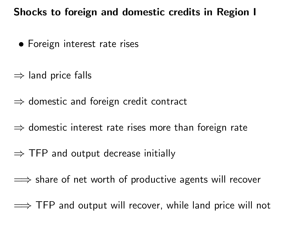### Shocks to foreign and domestic credits in Region I

- Foreign interest rate rises
- $\Rightarrow$  land price falls
- $\Rightarrow$  domestic and foreign credit contract
- $\Rightarrow$  domestic interest rate rises more than foreign rate
- $\Rightarrow$  TFP and output decrease initially
- $\implies$  share of net worth of productive agents will recover
- $\implies$  TFP and output will recover, while land price will not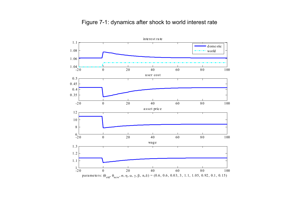![](_page_31_Figure_0.jpeg)

Figure 7-1: dynamics after shock to world interest rate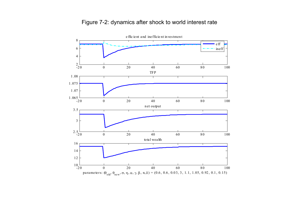#### Figure 7-2: dynamics after shock to world interest rate

![](_page_32_Figure_1.jpeg)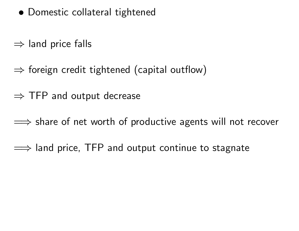- Domestic collateral tightened
- $\Rightarrow$  land price falls
- $\Rightarrow$  foreign credit tightened (capital outflow)
- $\Rightarrow$  TFP and output decrease
- $\implies$  share of net worth of productive agents will not recover
- $\implies$  land price, TFP and output continue to stagnate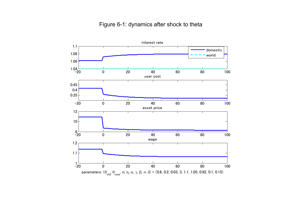#### Figure 6-1: dynamics after shock to theta

![](_page_34_Figure_1.jpeg)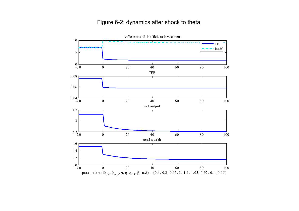#### Figure 6-2: dynamics after shock to theta

<sup>e</sup> ffic ient and inefficie nt in vestmen t 10 eff ineff5  $0\frac{1}{20}$  <sup>0</sup> <sup>20</sup> <sup>40</sup> <sup>60</sup> <sup>8</sup> <sup>0</sup> <sup>100</sup> <sup>0</sup> TFP 1 .08 т τ 1 .06  $1.04\frac{1}{20}$  $0 \hspace{1.5cm} 0 \hspace{1.5cm} 20 \hspace{1.5cm} 40 \hspace{1.5cm} 60 \hspace{1.5cm} 80 \hspace{1.5cm} 100$ net output 3.5 3  $2.5 -$ <br>-20  $0 \hspace{1.5cm} 0 \hspace{1.5cm} 20 \hspace{1.5cm} 40 \hspace{1.5cm} 60 \hspace{1.5cm} 80 \hspace{1.5cm} 100$ to tal wealth 16 14 12  $^{10}$ -20 0 0 20 40 60 80 100 parameters:  $(\theta_{old}, \theta_{new}, \sigma, \eta, \alpha, \gamma, \beta, n, \delta) = (0.6, 0.2, 0.03, 3, 1.1, 1.05, 0.92, 0.1, 0.15)$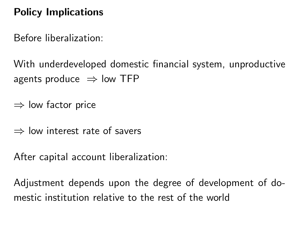# Policy Implications

Before liberalization:

With underdeveloped domestic financial system, unproductive agents produce  $\Rightarrow$  low TFP

 $\Rightarrow$  low factor price

 $\Rightarrow$  low interest rate of savers

After capital account liberalization:

Adjustment depends upon the degree of development of domestic institution relative to the rest of the world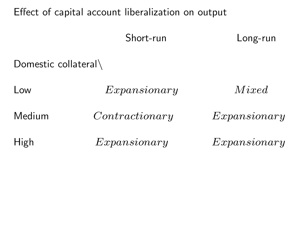### Effect of capital account liberalization on output

![](_page_37_Figure_1.jpeg)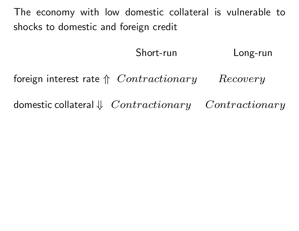The economy with low domestic collateral is vulnerable to shocks to domestic and foreign credit

Short-run Long-run

foreign interest rate  $\Uparrow$  Contractionary Recovery

domestic collateral  $\Downarrow$  Contractionary Contractionary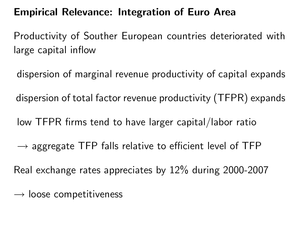## Empirical Relevance: Integration of Euro Area

Productivity of Souther European countries deteriorated with large capital inflow

dispersion of marginal revenue productivity of capital expands dispersion of total factor revenue productivity (TFPR) expands low TFPR firms tend to have larger capital/labor ratio  $\rightarrow$  aggregate TFP falls relative to efficient level of TFP Real exchange rates appreciates by 12% during 2000-2007

 $\rightarrow$  loose competitiveness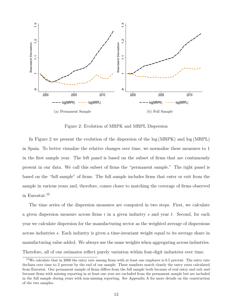![](_page_40_Figure_0.jpeg)

<span id="page-40-2"></span><span id="page-40-1"></span><span id="page-40-0"></span>Figure 2: Evolution of MRPK and MRPL Dispersion